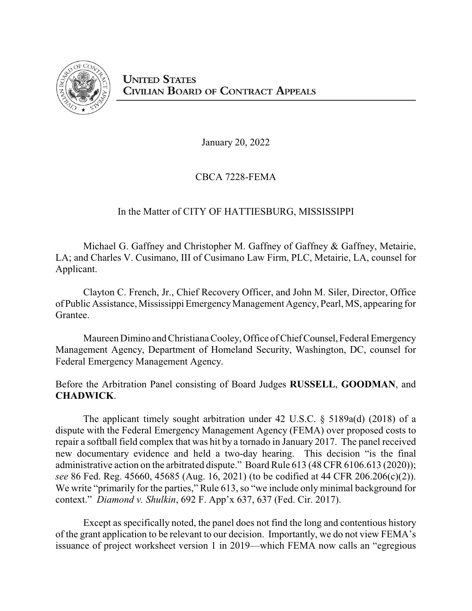

January 20, 2022

CBCA 7228-FEMA

# In the Matter of CITY OF HATTIESBURG, MISSISSIPPI

Michael G. Gaffney and Christopher M. Gaffney of Gaffney & Gaffney, Metairie, LA; and Charles V. Cusimano, III of Cusimano Law Firm, PLC, Metairie, LA, counsel for Applicant.

Clayton C. French, Jr., Chief Recovery Officer, and John M. Siler, Director, Office of Public Assistance, Mississippi EmergencyManagement Agency, Pearl, MS, appearing for Grantee.

Maureen Dimino and Christiana Cooley, Office of Chief Counsel, Federal Emergency Management Agency, Department of Homeland Security, Washington, DC, counsel for Federal Emergency Management Agency.

Before the Arbitration Panel consisting of Board Judges **RUSSELL**, **GOODMAN**, and **CHADWICK**.

The applicant timely sought arbitration under 42 U.S.C. § 5189a(d) (2018) of a dispute with the Federal Emergency Management Agency (FEMA) over proposed costs to repair a softball field complex that was hit by a tornado in January 2017. The panel received new documentary evidence and held a two-day hearing. This decision "is the final administrative action on the arbitrated dispute." Board Rule 613 (48 CFR 6106.613 (2020)); *see* 86 Fed. Reg. 45660, 45685 (Aug. 16, 2021) (to be codified at 44 CFR 206.206(c)(2)). We write "primarily for the parties," Rule 613, so "we include only minimal background for context." *Diamond v. Shulkin*, 692 F. App'x 637, 637 (Fed. Cir. 2017).

Except as specifically noted, the panel does not find the long and contentious history of the grant application to be relevant to our decision. Importantly, we do not view FEMA's issuance of project worksheet version 1 in 2019—which FEMA now calls an "egregious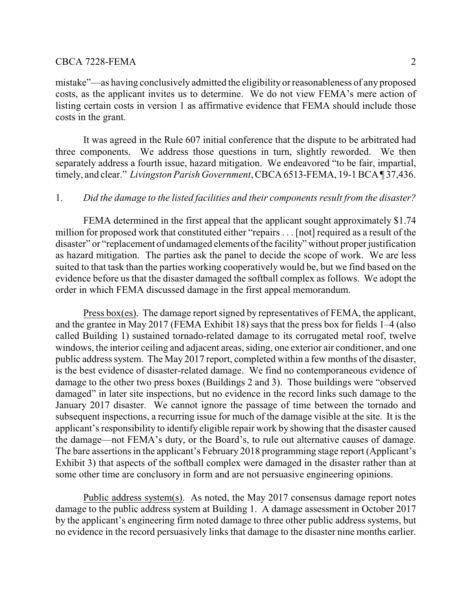mistake"—as having conclusively admitted the eligibility or reasonableness of any proposed costs, as the applicant invites us to determine. We do not view FEMA's mere action of listing certain costs in version 1 as affirmative evidence that FEMA should include those costs in the grant.

It was agreed in the Rule 607 initial conference that the dispute to be arbitrated had three components. We address those questions in turn, slightly reworded. We then separately address a fourth issue, hazard mitigation. We endeavored "to be fair, impartial, timely, and clear." *Livingston Parish Government*, CBCA 6513-FEMA, 19-1 BCA ¶ 37,436.

## 1. *Did the damage to the listed facilities and their components result from the disaster?*

FEMA determined in the first appeal that the applicant sought approximately \$1.74 million for proposed work that constituted either "repairs . . . [not] required as a result of the disaster" or "replacement of undamaged elements of the facility" without proper justification as hazard mitigation. The parties ask the panel to decide the scope of work. We are less suited to that task than the parties working cooperatively would be, but we find based on the evidence before us that the disaster damaged the softball complex as follows. We adopt the order in which FEMA discussed damage in the first appeal memorandum.

Press box(es). The damage report signed by representatives of FEMA, the applicant, and the grantee in May 2017 (FEMA Exhibit 18) says that the press box for fields 1–4 (also called Building 1) sustained tornado-related damage to its corrugated metal roof, twelve windows, the interior ceiling and adjacent areas, siding, one exterior air conditioner, and one public address system. The May 2017 report, completed within a few months of the disaster, is the best evidence of disaster-related damage. We find no contemporaneous evidence of damage to the other two press boxes (Buildings 2 and 3). Those buildings were "observed damaged" in later site inspections, but no evidence in the record links such damage to the January 2017 disaster. We cannot ignore the passage of time between the tornado and subsequent inspections, a recurring issue for much of the damage visible at the site. It is the applicant's responsibility to identify eligible repair work by showing that the disaster caused the damage—not FEMA's duty, or the Board's, to rule out alternative causes of damage. The bare assertions in the applicant's February 2018 programming stage report (Applicant's Exhibit 3) that aspects of the softball complex were damaged in the disaster rather than at some other time are conclusory in form and are not persuasive engineering opinions.

Public address system(s). As noted, the May 2017 consensus damage report notes damage to the public address system at Building 1. A damage assessment in October 2017 by the applicant's engineering firm noted damage to three other public address systems, but no evidence in the record persuasively links that damage to the disaster nine months earlier.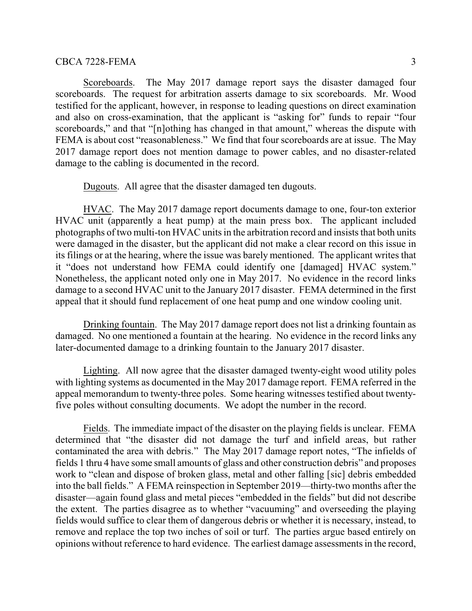Scoreboards. The May 2017 damage report says the disaster damaged four scoreboards. The request for arbitration asserts damage to six scoreboards. Mr. Wood testified for the applicant, however, in response to leading questions on direct examination and also on cross-examination, that the applicant is "asking for" funds to repair "four scoreboards," and that "[n]othing has changed in that amount," whereas the dispute with FEMA is about cost "reasonableness." We find that four scoreboards are at issue. The May 2017 damage report does not mention damage to power cables, and no disaster-related damage to the cabling is documented in the record.

Dugouts. All agree that the disaster damaged ten dugouts.

HVAC. The May 2017 damage report documents damage to one, four-ton exterior HVAC unit (apparently a heat pump) at the main press box. The applicant included photographs of two multi-ton HVAC units in the arbitration record and insists that both units were damaged in the disaster, but the applicant did not make a clear record on this issue in its filings or at the hearing, where the issue was barely mentioned. The applicant writes that it "does not understand how FEMA could identify one [damaged] HVAC system." Nonetheless, the applicant noted only one in May 2017. No evidence in the record links damage to a second HVAC unit to the January 2017 disaster. FEMA determined in the first appeal that it should fund replacement of one heat pump and one window cooling unit.

Drinking fountain. The May 2017 damage report does not list a drinking fountain as damaged. No one mentioned a fountain at the hearing. No evidence in the record links any later-documented damage to a drinking fountain to the January 2017 disaster.

Lighting. All now agree that the disaster damaged twenty-eight wood utility poles with lighting systems as documented in the May 2017 damage report. FEMA referred in the appeal memorandum to twenty-three poles. Some hearing witnesses testified about twentyfive poles without consulting documents. We adopt the number in the record.

Fields. The immediate impact of the disaster on the playing fields is unclear. FEMA determined that "the disaster did not damage the turf and infield areas, but rather contaminated the area with debris." The May 2017 damage report notes, "The infields of fields 1 thru 4 have some small amounts of glass and other construction debris" and proposes work to "clean and dispose of broken glass, metal and other falling [sic] debris embedded into the ball fields." A FEMA reinspection in September 2019—thirty-two months after the disaster—again found glass and metal pieces "embedded in the fields" but did not describe the extent. The parties disagree as to whether "vacuuming" and overseeding the playing fields would suffice to clear them of dangerous debris or whether it is necessary, instead, to remove and replace the top two inches of soil or turf. The parties argue based entirely on opinions without reference to hard evidence. The earliest damage assessments in the record,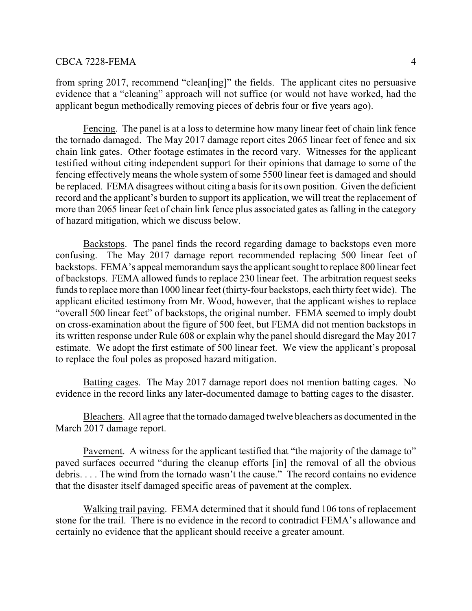from spring 2017, recommend "clean[ing]" the fields. The applicant cites no persuasive evidence that a "cleaning" approach will not suffice (or would not have worked, had the applicant begun methodically removing pieces of debris four or five years ago).

Fencing. The panel is at a loss to determine how many linear feet of chain link fence the tornado damaged. The May 2017 damage report cites 2065 linear feet of fence and six chain link gates. Other footage estimates in the record vary. Witnesses for the applicant testified without citing independent support for their opinions that damage to some of the fencing effectively means the whole system of some 5500 linear feet is damaged and should be replaced. FEMA disagrees without citing a basis for its own position. Given the deficient record and the applicant's burden to support its application, we will treat the replacement of more than 2065 linear feet of chain link fence plus associated gates as falling in the category of hazard mitigation, which we discuss below.

Backstops. The panel finds the record regarding damage to backstops even more confusing. The May 2017 damage report recommended replacing 500 linear feet of backstops. FEMA's appeal memorandumsays the applicant sought to replace 800 linear feet of backstops. FEMA allowed funds to replace 230 linear feet. The arbitration request seeks funds to replace more than 1000 linear feet (thirty-four backstops, each thirty feet wide). The applicant elicited testimony from Mr. Wood, however, that the applicant wishes to replace "overall 500 linear feet" of backstops, the original number. FEMA seemed to imply doubt on cross-examination about the figure of 500 feet, but FEMA did not mention backstops in its written response under Rule 608 or explain why the panel should disregard the May 2017 estimate. We adopt the first estimate of 500 linear feet. We view the applicant's proposal to replace the foul poles as proposed hazard mitigation.

Batting cages. The May 2017 damage report does not mention batting cages. No evidence in the record links any later-documented damage to batting cages to the disaster.

Bleachers. All agree that the tornado damaged twelve bleachers as documented in the March 2017 damage report.

Pavement. A witness for the applicant testified that "the majority of the damage to" paved surfaces occurred "during the cleanup efforts [in] the removal of all the obvious debris. . . . The wind from the tornado wasn't the cause." The record contains no evidence that the disaster itself damaged specific areas of pavement at the complex.

Walking trail paving. FEMA determined that it should fund 106 tons of replacement stone for the trail. There is no evidence in the record to contradict FEMA's allowance and certainly no evidence that the applicant should receive a greater amount.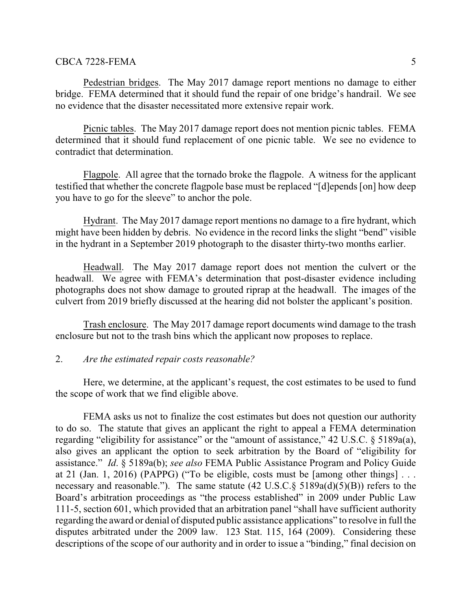Pedestrian bridges. The May 2017 damage report mentions no damage to either bridge. FEMA determined that it should fund the repair of one bridge's handrail. We see no evidence that the disaster necessitated more extensive repair work.

Picnic tables. The May 2017 damage report does not mention picnic tables. FEMA determined that it should fund replacement of one picnic table. We see no evidence to contradict that determination.

Flagpole. All agree that the tornado broke the flagpole. A witness for the applicant testified that whether the concrete flagpole base must be replaced "[d]epends [on] how deep you have to go for the sleeve" to anchor the pole.

Hydrant. The May 2017 damage report mentions no damage to a fire hydrant, which might have been hidden by debris. No evidence in the record links the slight "bend" visible in the hydrant in a September 2019 photograph to the disaster thirty-two months earlier.

Headwall. The May 2017 damage report does not mention the culvert or the headwall. We agree with FEMA's determination that post-disaster evidence including photographs does not show damage to grouted riprap at the headwall. The images of the culvert from 2019 briefly discussed at the hearing did not bolster the applicant's position.

Trash enclosure. The May 2017 damage report documents wind damage to the trash enclosure but not to the trash bins which the applicant now proposes to replace.

### 2. *Are the estimated repair costs reasonable?*

Here, we determine, at the applicant's request, the cost estimates to be used to fund the scope of work that we find eligible above.

FEMA asks us not to finalize the cost estimates but does not question our authority to do so. The statute that gives an applicant the right to appeal a FEMA determination regarding "eligibility for assistance" or the "amount of assistance," 42 U.S.C. § 5189a(a), also gives an applicant the option to seek arbitration by the Board of "eligibility for assistance." *Id*. § 5189a(b); *see also* FEMA Public Assistance Program and Policy Guide at 21 (Jan. 1, 2016) (PAPPG) ("To be eligible, costs must be [among other things] . . . necessary and reasonable."). The same statute  $(42 \text{ U.S.C.} \S 5189a(d)(5)(B))$  refers to the Board's arbitration proceedings as "the process established" in 2009 under Public Law 111-5, section 601, which provided that an arbitration panel "shall have sufficient authority regarding the award or denial of disputed public assistance applications" to resolve in full the disputes arbitrated under the 2009 law. 123 Stat. 115, 164 (2009). Considering these descriptions of the scope of our authority and in order to issue a "binding," final decision on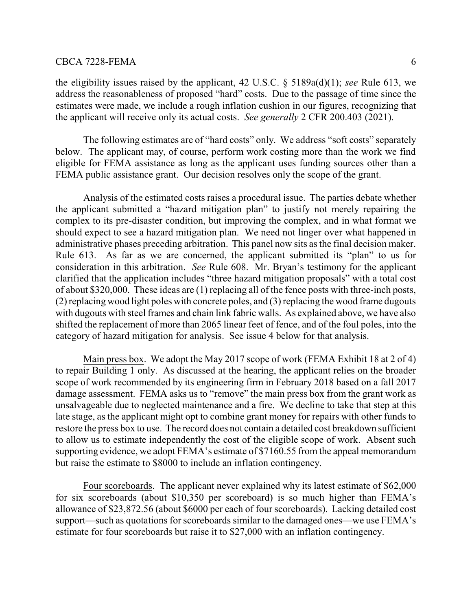the eligibility issues raised by the applicant, 42 U.S.C. § 5189a(d)(1); *see* Rule 613, we address the reasonableness of proposed "hard" costs. Due to the passage of time since the estimates were made, we include a rough inflation cushion in our figures, recognizing that the applicant will receive only its actual costs. *See generally* 2 CFR 200.403 (2021).

The following estimates are of "hard costs" only. We address "soft costs" separately below. The applicant may, of course, perform work costing more than the work we find eligible for FEMA assistance as long as the applicant uses funding sources other than a FEMA public assistance grant. Our decision resolves only the scope of the grant.

Analysis of the estimated costs raises a procedural issue. The parties debate whether the applicant submitted a "hazard mitigation plan" to justify not merely repairing the complex to its pre-disaster condition, but improving the complex, and in what format we should expect to see a hazard mitigation plan. We need not linger over what happened in administrative phases preceding arbitration. This panel now sits asthe final decision maker. Rule 613. As far as we are concerned, the applicant submitted its "plan" to us for consideration in this arbitration. *See* Rule 608. Mr. Bryan's testimony for the applicant clarified that the application includes "three hazard mitigation proposals" with a total cost of about \$320,000. These ideas are (1) replacing all of the fence posts with three-inch posts, (2) replacing wood light poles with concrete poles, and (3) replacing the wood frame dugouts with dugouts with steel frames and chain link fabric walls. As explained above, we have also shifted the replacement of more than 2065 linear feet of fence, and of the foul poles, into the category of hazard mitigation for analysis. See issue 4 below for that analysis.

Main press box. We adopt the May 2017 scope of work (FEMA Exhibit 18 at 2 of 4) to repair Building 1 only. As discussed at the hearing, the applicant relies on the broader scope of work recommended by its engineering firm in February 2018 based on a fall 2017 damage assessment. FEMA asks us to "remove" the main press box from the grant work as unsalvageable due to neglected maintenance and a fire. We decline to take that step at this late stage, as the applicant might opt to combine grant money for repairs with other funds to restore the press box to use. The record does not contain a detailed cost breakdown sufficient to allow us to estimate independently the cost of the eligible scope of work. Absent such supporting evidence, we adopt FEMA's estimate of \$7160.55 from the appeal memorandum but raise the estimate to \$8000 to include an inflation contingency.

Four scoreboards. The applicant never explained why its latest estimate of \$62,000 for six scoreboards (about \$10,350 per scoreboard) is so much higher than FEMA's allowance of \$23,872.56 (about \$6000 per each of four scoreboards). Lacking detailed cost support—such as quotations for scoreboards similar to the damaged ones—we use FEMA's estimate for four scoreboards but raise it to \$27,000 with an inflation contingency.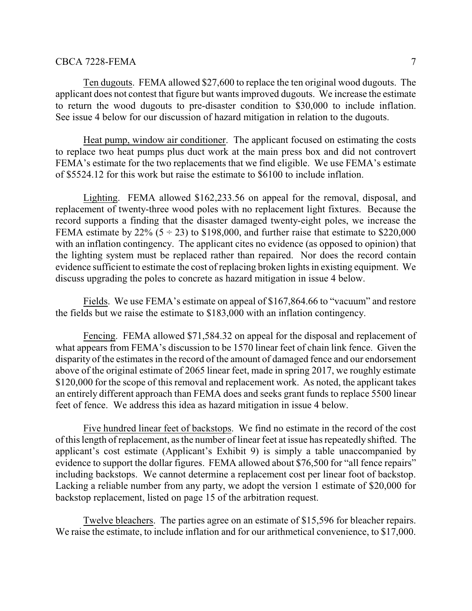Ten dugouts. FEMA allowed \$27,600 to replace the ten original wood dugouts. The applicant does not contest that figure but wants improved dugouts. We increase the estimate to return the wood dugouts to pre-disaster condition to \$30,000 to include inflation. See issue 4 below for our discussion of hazard mitigation in relation to the dugouts.

Heat pump, window air conditioner. The applicant focused on estimating the costs to replace two heat pumps plus duct work at the main press box and did not controvert FEMA's estimate for the two replacements that we find eligible. We use FEMA's estimate of \$5524.12 for this work but raise the estimate to \$6100 to include inflation.

Lighting. FEMA allowed \$162,233.56 on appeal for the removal, disposal, and replacement of twenty-three wood poles with no replacement light fixtures. Because the record supports a finding that the disaster damaged twenty-eight poles, we increase the FEMA estimate by 22%  $(5 \div 23)$  to \$198,000, and further raise that estimate to \$220,000 with an inflation contingency. The applicant cites no evidence (as opposed to opinion) that the lighting system must be replaced rather than repaired. Nor does the record contain evidence sufficient to estimate the cost of replacing broken lights in existing equipment. We discuss upgrading the poles to concrete as hazard mitigation in issue 4 below.

Fields. We use FEMA's estimate on appeal of \$167,864.66 to "vacuum" and restore the fields but we raise the estimate to \$183,000 with an inflation contingency.

Fencing. FEMA allowed \$71,584.32 on appeal for the disposal and replacement of what appears from FEMA's discussion to be 1570 linear feet of chain link fence. Given the disparity of the estimates in the record of the amount of damaged fence and our endorsement above of the original estimate of 2065 linear feet, made in spring 2017, we roughly estimate \$120,000 for the scope of this removal and replacement work. As noted, the applicant takes an entirely different approach than FEMA does and seeks grant funds to replace 5500 linear feet of fence. We address this idea as hazard mitigation in issue 4 below.

Five hundred linear feet of backstops. We find no estimate in the record of the cost of this length of replacement, as the number of linear feet at issue has repeatedly shifted. The applicant's cost estimate (Applicant's Exhibit 9) is simply a table unaccompanied by evidence to support the dollar figures. FEMA allowed about \$76,500 for "all fence repairs" including backstops. We cannot determine a replacement cost per linear foot of backstop. Lacking a reliable number from any party, we adopt the version 1 estimate of \$20,000 for backstop replacement, listed on page 15 of the arbitration request.

Twelve bleachers. The parties agree on an estimate of \$15,596 for bleacher repairs. We raise the estimate, to include inflation and for our arithmetical convenience, to \$17,000.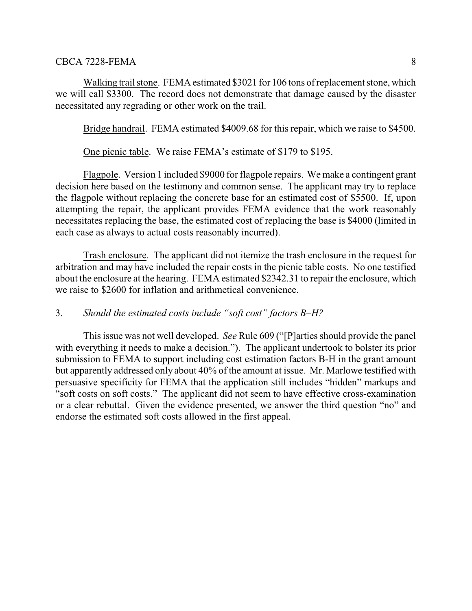Walking trail stone. FEMA estimated \$3021 for 106 tons of replacement stone, which we will call \$3300. The record does not demonstrate that damage caused by the disaster necessitated any regrading or other work on the trail.

Bridge handrail. FEMA estimated \$4009.68 for this repair, which we raise to \$4500.

One picnic table. We raise FEMA's estimate of \$179 to \$195.

Flagpole. Version 1 included \$9000 for flagpole repairs. We make a contingent grant decision here based on the testimony and common sense. The applicant may try to replace the flagpole without replacing the concrete base for an estimated cost of \$5500. If, upon attempting the repair, the applicant provides FEMA evidence that the work reasonably necessitates replacing the base, the estimated cost of replacing the base is \$4000 (limited in each case as always to actual costs reasonably incurred).

Trash enclosure. The applicant did not itemize the trash enclosure in the request for arbitration and may have included the repair costs in the picnic table costs. No one testified about the enclosure at the hearing. FEMA estimated \$2342.31 to repair the enclosure, which we raise to \$2600 for inflation and arithmetical convenience.

# 3. *Should the estimated costs include "soft cost" factors B–H?*

This issue was not well developed. *See* Rule 609 ("[P]arties should provide the panel with everything it needs to make a decision."). The applicant undertook to bolster its prior submission to FEMA to support including cost estimation factors B-H in the grant amount but apparently addressed only about 40% of the amount at issue. Mr. Marlowe testified with persuasive specificity for FEMA that the application still includes "hidden" markups and "soft costs on soft costs." The applicant did not seem to have effective cross-examination or a clear rebuttal. Given the evidence presented, we answer the third question "no" and endorse the estimated soft costs allowed in the first appeal.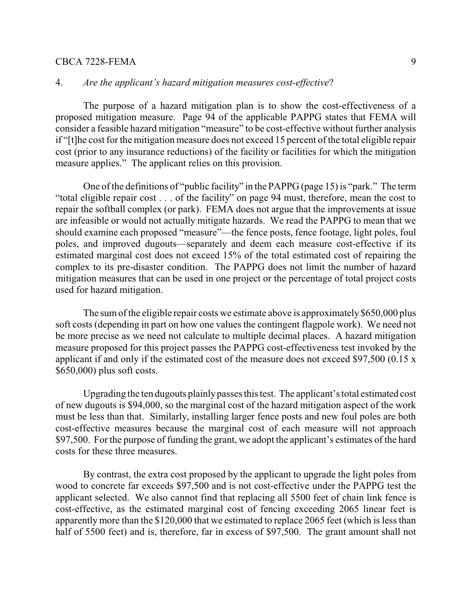### 4. *Are the applicant's hazard mitigation measures cost-effective*?

The purpose of a hazard mitigation plan is to show the cost-effectiveness of a proposed mitigation measure. Page 94 of the applicable PAPPG states that FEMA will consider a feasible hazard mitigation "measure" to be cost-effective without further analysis if "[t]he cost for the mitigation measure does not exceed 15 percent of the total eligible repair cost (prior to any insurance reductions) of the facility or facilities for which the mitigation measure applies." The applicant relies on this provision.

One of the definitions of "public facility" in the PAPPG (page 15) is "park." The term "total eligible repair cost . . . of the facility" on page 94 must, therefore, mean the cost to repair the softball complex (or park). FEMA does not argue that the improvements at issue are infeasible or would not actually mitigate hazards. We read the PAPPG to mean that we should examine each proposed "measure"—the fence posts, fence footage, light poles, foul poles, and improved dugouts—separately and deem each measure cost-effective if its estimated marginal cost does not exceed 15% of the total estimated cost of repairing the complex to its pre-disaster condition. The PAPPG does not limit the number of hazard mitigation measures that can be used in one project or the percentage of total project costs used for hazard mitigation.

The sumof the eligible repair costs we estimate above is approximately \$650,000 plus soft costs (depending in part on how one values the contingent flagpole work). We need not be more precise as we need not calculate to multiple decimal places. A hazard mitigation measure proposed for this project passes the PAPPG cost-effectiveness test invoked by the applicant if and only if the estimated cost of the measure does not exceed \$97,500 (0.15 x \$650,000) plus soft costs.

Upgrading the ten dugouts plainlypasses this test. The applicant's total estimated cost of new dugouts is \$94,000, so the marginal cost of the hazard mitigation aspect of the work must be less than that. Similarly, installing larger fence posts and new foul poles are both cost-effective measures because the marginal cost of each measure will not approach \$97,500. For the purpose of funding the grant, we adopt the applicant's estimates of the hard costs for these three measures.

By contrast, the extra cost proposed by the applicant to upgrade the light poles from wood to concrete far exceeds \$97,500 and is not cost-effective under the PAPPG test the applicant selected. We also cannot find that replacing all 5500 feet of chain link fence is cost-effective, as the estimated marginal cost of fencing exceeding 2065 linear feet is apparently more than the \$120,000 that we estimated to replace 2065 feet (which is less than half of 5500 feet) and is, therefore, far in excess of \$97,500. The grant amount shall not